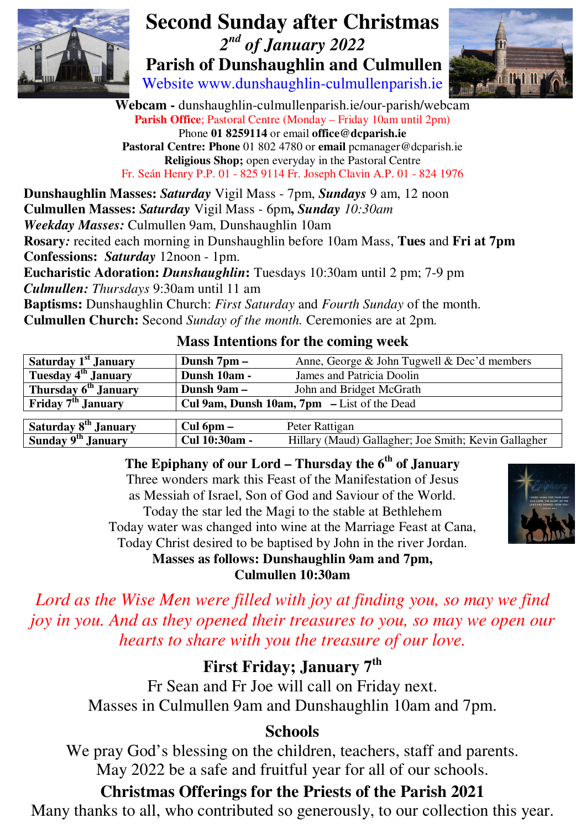

## **Second Sunday after Christmas**   *2nd of January 2022*   **Parish of Dunshaughlin and Culmullen**

Website www.dunshaughlin-culmullenparish.ie



**Webcam -** dunshaughlin-culmullenparish.ie/our-parish/webcam **Parish Office**; Pastoral Centre (Monday – Friday 10am until 2pm) Phone **01 8259114** or email **office@dcparish.ie Pastoral Centre: Phone** 01 802 4780 or **email** pcmanager@dcparish.ie **Religious Shop;** open everyday in the Pastoral Centre Fr. Seán Henry P.P. 01 - 825 9114 Fr. Joseph Clavin A.P. 01 - 824 1976

**Dunshaughlin Masses:** *Saturday* Vigil Mass - 7pm, *Sundays* 9 am, 12 noon **Culmullen Masses:** *Saturday* Vigil Mass - 6pm**,** *Sunday 10:30am Weekday Masses:* Culmullen 9am, Dunshaughlin 10am **Rosary***:* recited each morning in Dunshaughlin before 10am Mass, **Tues** and **Fri at 7pm Confessions:** *Saturday* 12noon - 1pm. **Eucharistic Adoration:** *Dunshaughlin***:** Tuesdays 10:30am until 2 pm; 7-9 pm *Culmullen: Thursdays* 9:30am until 11 am **Baptisms:** Dunshaughlin Church: *First Saturday* and *Fourth Sunday* of the month. **Culmullen Church:** Second *Sunday of the month.* Ceremonies are at 2pm.

| Dunsh 7pm –   | Anne, George & John Tugwell & Dec'd members           |
|---------------|-------------------------------------------------------|
| Dunsh 10am -  | James and Patricia Doolin                             |
| Dunsh 9am –   | John and Bridget McGrath                              |
|               | Cul 9am, Dunsh 10am, $7 \text{pm}$ - List of the Dead |
|               |                                                       |
| $Cul$ 6pm $-$ | Peter Rattigan                                        |
|               |                                                       |

#### **Mass Intentions for the coming week**

**Sunday 9<sup>th</sup> January Cul 10:30am -** Hillary (Maud) Gallagher; Joe Smith; Kevin Gallagher

**The Epiphany of our Lord – Thursday the 6th of January**  Three wonders mark this Feast of the Manifestation of Jesus as Messiah of Israel, Son of God and Saviour of the World. Today the star led the Magi to the stable at Bethlehem Today water was changed into wine at the Marriage Feast at Cana, Today Christ desired to be baptised by John in the river Jordan. **Masses as follows: Dunshaughlin 9am and 7pm,** 



**Culmullen 10:30am** 

*Lord as the Wise Men were filled with joy at finding you, so may we find joy in you. And as they opened their treasures to you, so may we open our hearts to share with you the treasure of our love.* 

## **First Friday; January 7th**

Fr Sean and Fr Joe will call on Friday next. Masses in Culmullen 9am and Dunshaughlin 10am and 7pm.

## **Schools**

We pray God's blessing on the children, teachers, staff and parents. May 2022 be a safe and fruitful year for all of our schools.

# **Christmas Offerings for the Priests of the Parish 2021**

Many thanks to all, who contributed so generously, to our collection this year.